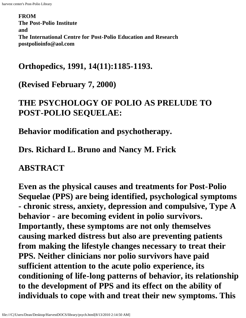**FROM The Post-Polio Institute and The International Centre for Post-Polio Education and Research postpolioinfo@aol.com** 

#### **Orthopedics, 1991, 14(11):1185-1193.**

**(Revised February 7, 2000)**

### **THE PSYCHOLOGY OF POLIO AS PRELUDE TO POST-POLIO SEQUELAE:**

**Behavior modification and psychotherapy.**

**Drs. Richard L. Bruno and Nancy M. Frick**

#### **ABSTRACT**

**Even as the physical causes and treatments for Post-Polio Sequelae (PPS) are being identified, psychological symptoms - chronic stress, anxiety, depression and compulsive, Type A behavior - are becoming evident in polio survivors. Importantly, these symptoms are not only themselves causing marked distress but also are preventing patients from making the lifestyle changes necessary to treat their PPS. Neither clinicians nor polio survivors have paid sufficient attention to the acute polio experience, its conditioning of life-long patterns of behavior, its relationship to the development of PPS and its effect on the ability of individuals to cope with and treat their new symptoms. This**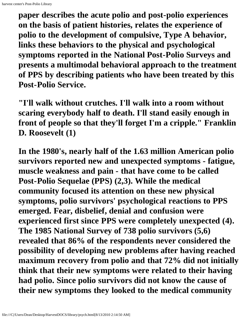**paper describes the acute polio and post-polio experiences on the basis of patient histories, relates the experience of polio to the development of compulsive, Type A behavior, links these behaviors to the physical and psychological symptoms reported in the National Post-Polio Surveys and presents a multimodal behavioral approach to the treatment of PPS by describing patients who have been treated by this Post-Polio Service.**

**"I'll walk without crutches. I'll walk into a room without scaring everybody half to death. I'll stand easily enough in front of people so that they'll forget I'm a cripple." Franklin D. Roosevelt (1)**

**In the 1980's, nearly half of the 1.63 million American polio survivors reported new and unexpected symptoms - fatigue, muscle weakness and pain - that have come to be called Post-Polio Sequelae (PPS) (2,3). While the medical community focused its attention on these new physical symptoms, polio survivors' psychological reactions to PPS emerged. Fear, disbelief, denial and confusion were experienced first since PPS were completely unexpected (4). The 1985 National Survey of 738 polio survivors (5,6) revealed that 86% of the respondents never considered the possibility of developing new problems after having reached maximum recovery from polio and that 72% did not initially think that their new symptoms were related to their having had polio. Since polio survivors did not know the cause of their new symptoms they looked to the medical community**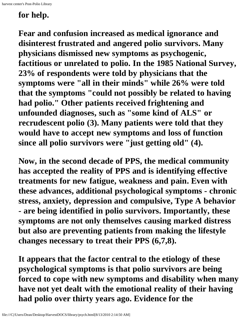## **for help.**

**Fear and confusion increased as medical ignorance and disinterest frustrated and angered polio survivors. Many physicians dismissed new symptoms as psychogenic, factitious or unrelated to polio. In the 1985 National Survey, 23% of respondents were told by physicians that the symptoms were "all in their minds" while 26% were told that the symptoms "could not possibly be related to having had polio." Other patients received frightening and unfounded diagnoses, such as "some kind of ALS" or recrudescent polio (3). Many patients were told that they would have to accept new symptoms and loss of function since all polio survivors were "just getting old" (4).**

**Now, in the second decade of PPS, the medical community has accepted the reality of PPS and is identifying effective treatments for new fatigue, weakness and pain. Even with these advances, additional psychological symptoms - chronic stress, anxiety, depression and compulsive, Type A behavior - are being identified in polio survivors. Importantly, these symptoms are not only themselves causing marked distress but also are preventing patients from making the lifestyle changes necessary to treat their PPS (6,7,8).**

**It appears that the factor central to the etiology of these psychological symptoms is that polio survivors are being forced to cope with new symptoms and disability when many have not yet dealt with the emotional reality of their having had polio over thirty years ago. Evidence for the**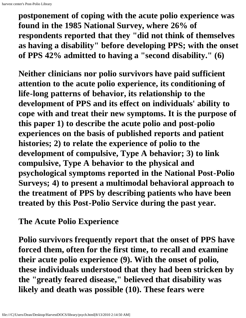**postponement of coping with the acute polio experience was found in the 1985 National Survey, where 26% of respondents reported that they "did not think of themselves as having a disability" before developing PPS; with the onset of PPS 42% admitted to having a "second disability." (6)**

**Neither clinicians nor polio survivors have paid sufficient attention to the acute polio experience, its conditioning of life-long patterns of behavior, its relationship to the development of PPS and its effect on individuals' ability to cope with and treat their new symptoms. It is the purpose of this paper 1) to describe the acute polio and post-polio experiences on the basis of published reports and patient histories; 2) to relate the experience of polio to the development of compulsive, Type A behavior; 3) to link compulsive, Type A behavior to the physical and psychological symptoms reported in the National Post-Polio Surveys; 4) to present a multimodal behavioral approach to the treatment of PPS by describing patients who have been treated by this Post-Polio Service during the past year.**

**The Acute Polio Experience**

**Polio survivors frequently report that the onset of PPS have forced them, often for the first time, to recall and examine their acute polio experience (9). With the onset of polio, these individuals understood that they had been stricken by the "greatly feared disease," believed that disability was likely and death was possible (10). These fears were**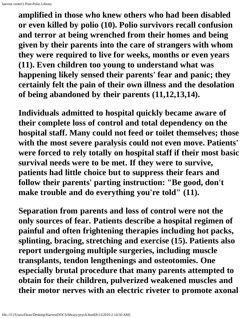**amplified in those who knew others who had been disabled or even killed by polio (10). Polio survivors recall confusion and terror at being wrenched from their homes and being given by their parents into the care of strangers with whom they were required to live for weeks, months or even years (11). Even children too young to understand what was happening likely sensed their parents' fear and panic; they certainly felt the pain of their own illness and the desolation of being abandoned by their parents (11,12,13,14).**

**Individuals admitted to hospital quickly became aware of their complete loss of control and total dependency on the hospital staff. Many could not feed or toilet themselves; those with the most severe paralysis could not even move. Patients' were forced to rely totally on hospital staff if their most basic survival needs were to be met. If they were to survive, patients had little choice but to suppress their fears and follow their parents' parting instruction: "Be good, don't make trouble and do everything you're told" (11).**

**Separation from parents and loss of control were not the only sources of fear. Patients describe a hospital regimen of painful and often frightening therapies including hot packs, splinting, bracing, stretching and exercise (15). Patients also report undergoing multiple surgeries, including muscle transplants, tendon lengthenings and osteotomies. One especially brutal procedure that many parents attempted to obtain for their children, pulverized weakened muscles and their motor nerves with an electric riveter to promote axonal**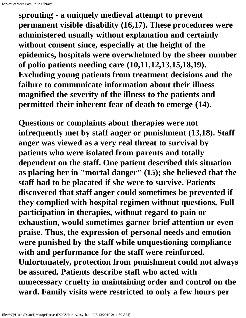**sprouting - a uniquely medieval attempt to prevent permanent visible disability (16,17). These procedures were administered usually without explanation and certainly without consent since, especially at the height of the epidemics, hospitals were overwhelmed by the sheer number of polio patients needing care (10,11,12,13,15,18,19). Excluding young patients from treatment decisions and the failure to communicate information about their illness magnified the severity of the illness to the patients and permitted their inherent fear of death to emerge (14).**

**Questions or complaints about therapies were not infrequently met by staff anger or punishment (13,18). Staff anger was viewed as a very real threat to survival by patients who were isolated from parents and totally dependent on the staff. One patient described this situation as placing her in "mortal danger" (15); she believed that the staff had to be placated if she were to survive. Patients discovered that staff anger could sometimes be prevented if they complied with hospital regimen without questions. Full participation in therapies, without regard to pain or exhaustion, would sometimes garner brief attention or even praise. Thus, the expression of personal needs and emotion were punished by the staff while unquestioning compliance with and performance for the staff were reinforced. Unfortunately, protection from punishment could not always be assured. Patients describe staff who acted with unnecessary cruelty in maintaining order and control on the ward. Family visits were restricted to only a few hours per**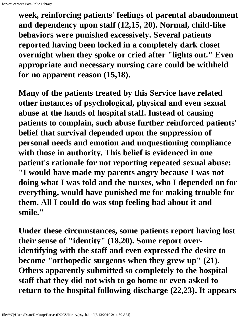**week, reinforcing patients' feelings of parental abandonment and dependency upon staff (12,15, 20). Normal, child-like behaviors were punished excessively. Several patients reported having been locked in a completely dark closet overnight when they spoke or cried after "lights out." Even appropriate and necessary nursing care could be withheld for no apparent reason (15,18).**

**Many of the patients treated by this Service have related other instances of psychological, physical and even sexual abuse at the hands of hospital staff. Instead of causing patients to complain, such abuse further reinforced patients' belief that survival depended upon the suppression of personal needs and emotion and unquestioning compliance with those in authority. This belief is evidenced in one patient's rationale for not reporting repeated sexual abuse: "I would have made my parents angry because I was not doing what I was told and the nurses, who I depended on for everything, would have punished me for making trouble for them. All I could do was stop feeling bad about it and smile."**

**Under these circumstances, some patients report having lost their sense of "identity" (18,20). Some report overidentifying with the staff and even expressed the desire to become "orthopedic surgeons when they grew up" (21). Others apparently submitted so completely to the hospital staff that they did not wish to go home or even asked to return to the hospital following discharge (22,23). It appears**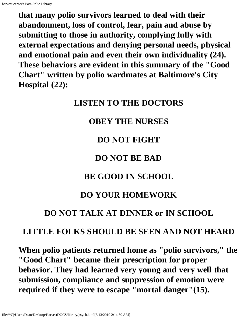harvest center's Post-Polio Library

**that many polio survivors learned to deal with their abandonment, loss of control, fear, pain and abuse by submitting to those in authority, complying fully with external expectations and denying personal needs, physical and emotional pain and even their own individuality (24). These behaviors are evident in this summary of the "Good Chart" written by polio wardmates at Baltimore's City Hospital (22):**

#### **LISTEN TO THE DOCTORS**

### **OBEY THE NURSES**

### **DO NOT FIGHT**

## **DO NOT BE BAD**

## **BE GOOD IN SCHOOL**

## **DO YOUR HOMEWORK**

## **DO NOT TALK AT DINNER or IN SCHOOL**

## **LITTLE FOLKS SHOULD BE SEEN AND NOT HEARD**

**When polio patients returned home as "polio survivors," the "Good Chart" became their prescription for proper behavior. They had learned very young and very well that submission, compliance and suppression of emotion were required if they were to escape "mortal danger"(15).**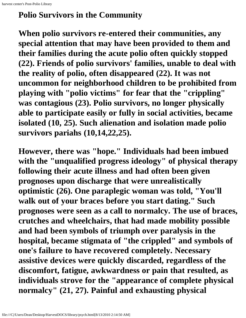#### **Polio Survivors in the Community**

**When polio survivors re-entered their communities, any special attention that may have been provided to them and their families during the acute polio often quickly stopped (22). Friends of polio survivors' families, unable to deal with the reality of polio, often disappeared (22). It was not uncommon for neighborhood children to be prohibited from playing with "polio victims" for fear that the "crippling" was contagious (23). Polio survivors, no longer physically able to participate easily or fully in social activities, became isolated (10, 25). Such alienation and isolation made polio survivors pariahs (10,14,22,25).**

**However, there was "hope." Individuals had been imbued with the "unqualified progress ideology" of physical therapy following their acute illness and had often been given prognoses upon discharge that were unrealistically optimistic (26). One paraplegic woman was told, "You'll walk out of your braces before you start dating." Such prognoses were seen as a call to normalcy. The use of braces, crutches and wheelchairs, that had made mobility possible and had been symbols of triumph over paralysis in the hospital, became stigmata of "the crippled" and symbols of one's failure to have recovered completely. Necessary assistive devices were quickly discarded, regardless of the discomfort, fatigue, awkwardness or pain that resulted, as individuals strove for the "appearance of complete physical normalcy" (21, 27). Painful and exhausting physical**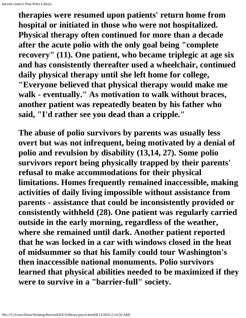**therapies were resumed upon patients' return home from hospital or initiated in those who were not hospitalized. Physical therapy often continued for more than a decade after the acute polio with the only goal being "complete recovery" (11). One patient, who became triplegic at age six and has consistently thereafter used a wheelchair, continued daily physical therapy until she left home for college, "Everyone believed that physical therapy would make me walk - eventually." As motivation to walk without braces, another patient was repeatedly beaten by his father who said, "I'd rather see you dead than a cripple."**

**The abuse of polio survivors by parents was usually less overt but was not infrequent, being motivated by a denial of polio and revulsion by disability (13,14, 27). Some polio survivors report being physically trapped by their parents' refusal to make accommodations for their physical limitations. Homes frequently remained inaccessible, making activities of daily living impossible without assistance from parents - assistance that could be inconsistently provided or consistently withheld (28). One patient was regularly carried outside in the early morning, regardless of the weather, where she remained until dark. Another patient reported that he was locked in a car with windows closed in the heat of midsummer so that his family could tour Washington's then inaccessible national monuments. Polio survivors learned that physical abilities needed to be maximized if they were to survive in a "barrier-full" society.**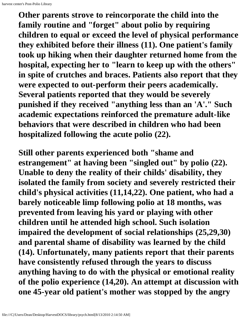**Other parents strove to reincorporate the child into the family routine and "forget" about polio by requiring children to equal or exceed the level of physical performance they exhibited before their illness (11). One patient's family took up hiking when their daughter returned home from the hospital, expecting her to "learn to keep up with the others" in spite of crutches and braces. Patients also report that they were expected to out-perform their peers academically. Several patients reported that they would be severely punished if they received "anything less than an 'A'." Such academic expectations reinforced the premature adult-like behaviors that were described in children who had been hospitalized following the acute polio (22).**

**Still other parents experienced both "shame and estrangement" at having been "singled out" by polio (22). Unable to deny the reality of their childs' disability, they isolated the family from society and severely restricted their child's physical activities (11,14,22). One patient, who had a barely noticeable limp following polio at 18 months, was prevented from leaving his yard or playing with other children until he attended high school. Such isolation impaired the development of social relationships (25,29,30) and parental shame of disability was learned by the child (14). Unfortunately, many patients report that their parents have consistently refused through the years to discuss anything having to do with the physical or emotional reality of the polio experience (14,20). An attempt at discussion with one 45-year old patient's mother was stopped by the angry**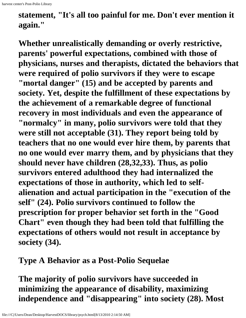## **statement, "It's all too painful for me. Don't ever mention it again."**

**Whether unrealistically demanding or overly restrictive, parents' powerful expectations, combined with those of physicians, nurses and therapists, dictated the behaviors that were required of polio survivors if they were to escape "mortal danger" (15) and be accepted by parents and society. Yet, despite the fulfillment of these expectations by the achievement of a remarkable degree of functional recovery in most individuals and even the appearance of "normalcy" in many, polio survivors were told that they were still not acceptable (31). They report being told by teachers that no one would ever hire them, by parents that no one would ever marry them, and by physicians that they should never have children (28,32,33). Thus, as polio survivors entered adulthood they had internalized the expectations of those in authority, which led to selfalienation and actual participation in the "execution of the self" (24). Polio survivors continued to follow the prescription for proper behavior set forth in the "Good Chart" even though they had been told that fulfilling the expectations of others would not result in acceptance by society (34).**

**Type A Behavior as a Post-Polio Sequelae**

**The majority of polio survivors have succeeded in minimizing the appearance of disability, maximizing independence and "disappearing" into society (28). Most**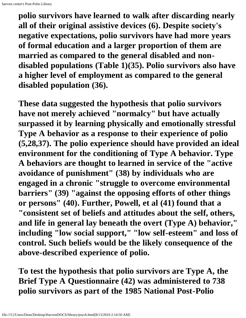**polio survivors have learned to walk after discarding nearly all of their original assistive devices (6). Despite society's negative expectations, polio survivors have had more years of formal education and a larger proportion of them are married as compared to the general disabled and nondisabled populations (Table 1)(35). Polio survivors also have a higher level of employment as compared to the general disabled population (36).**

**These data suggested the hypothesis that polio survivors have not merely achieved "normalcy" but have actually surpassed it by learning physically and emotionally stressful Type A behavior as a response to their experience of polio (5,28,37). The polio experience should have provided an ideal environment for the conditioning of Type A behavior. Type A behaviors are thought to learned in service of the "active avoidance of punishment" (38) by individuals who are engaged in a chronic "struggle to overcome environmental barriers" (39) "against the opposing efforts of other things or persons" (40). Further, Powell, et al (41) found that a "consistent set of beliefs and attitudes about the self, others, and life in general lay beneath the overt (Type A) behavior," including "low social support," "low self-esteem" and loss of control. Such beliefs would be the likely consequence of the above-described experience of polio.**

**To test the hypothesis that polio survivors are Type A, the Brief Type A Questionnaire (42) was administered to 738 polio survivors as part of the 1985 National Post-Polio**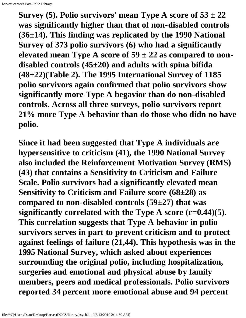**Survey (5). Polio survivors' mean Type A score of**  $53 \pm 22$ **was significantly higher than that of non-disabled controls (36±14). This finding was replicated by the 1990 National Survey of 373 polio survivors (6) who had a significantly** elevated mean Type A score of  $59 \pm 22$  as compared to non**disabled controls (45±20) and adults with spina bifida (48±22)(Table 2). The 1995 International Survey of 1185 polio survivors again confirmed that polio survivors show significantly more Type A begavior than do non-disabled controls. Across all three surveys, polio survivors report 21% more Type A behavior than do those who didn no have polio.**

**Since it had been suggested that Type A individuals are hypersensitive to criticism (41), the 1990 National Survey also included the Reinforcement Motivation Survey (RMS) (43) that contains a Sensitivity to Criticism and Failure Scale. Polio survivors had a significantly elevated mean Sensitivity to Criticism and Failure score (68±28) as compared to non-disabled controls (59±27) that was significantly correlated with the Type A score (r=0.44)(5). This correlation suggests that Type A behavior in polio survivors serves in part to prevent criticism and to protect against feelings of failure (21,44). This hypothesis was in the 1995 National Survey, which asked about experiences surrounding the original polio, including hospitalization, surgeries and emotional and physical abuse by family members, peers and medical professionals. Polio survivors reported 34 percent more emotional abuse and 94 percent**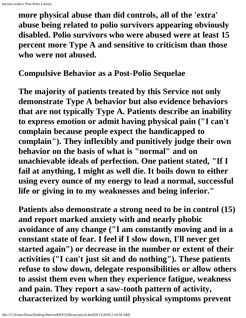**more physical abuse than did controls, all of the 'extra' abuse being related to polio survivors appearing obviously disabled. Polio survivors who were abused were at least 15 percent more Type A and sensitive to criticism than those who were not abused.**

**Compulsive Behavior as a Post-Polio Sequelae**

**The majority of patients treated by this Service not only demonstrate Type A behavior but also evidence behaviors that are not typically Type A. Patients describe an inability to express emotion or admit having physical pain ("I can't complain because people expect the handicapped to complain"). They inflexibly and punitively judge their own behavior on the basis of what is "normal" and on unachievable ideals of perfection. One patient stated, "If I fail at anything, I might as well die. It boils down to either using every ounce of my energy to lead a normal, successful life or giving in to my weaknesses and being inferior."**

**Patients also demonstrate a strong need to be in control (15) and report marked anxiety with and nearly phobic avoidance of any change ("I am constantly moving and in a constant state of fear. I feel if I slow down, I'll never get started again") or decrease in the number or extent of their activities ("I can't just sit and do nothing"). These patients refuse to slow down, delegate responsibilities or allow others to assist them even when they experience fatigue, weakness and pain. They report a saw-tooth pattern of activity, characterized by working until physical symptoms prevent**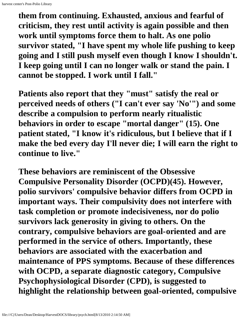**them from continuing. Exhausted, anxious and fearful of criticism, they rest until activity is again possible and then work until symptoms force them to halt. As one polio survivor stated, "I have spent my whole life pushing to keep going and I still push myself even though I know I shouldn't. I keep going until I can no longer walk or stand the pain. I cannot be stopped. I work until I fall."**

**Patients also report that they "must" satisfy the real or perceived needs of others ("I can't ever say 'No'") and some describe a compulsion to perform nearly ritualistic behaviors in order to escape "mortal danger" (15). One patient stated, "I know it's ridiculous, but I believe that if I make the bed every day I'll never die; I will earn the right to continue to live."**

**These behaviors are reminiscent of the Obsessive Compulsive Personality Disorder (OCPD)(45). However, polio survivors' compulsive behavior differs from OCPD in important ways. Their compulsivity does not interfere with task completion or promote indecisiveness, nor do polio survivors lack generosity in giving to others. On the contrary, compulsive behaviors are goal-oriented and are performed in the service of others. Importantly, these behaviors are associated with the exacerbation and maintenance of PPS symptoms. Because of these differences with OCPD, a separate diagnostic category, Compulsive Psychophysiological Disorder (CPD), is suggested to highlight the relationship between goal-oriented, compulsive**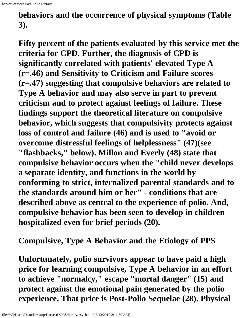**behaviors and the occurrence of physical symptoms (Table 3).**

**Fifty percent of the patients evaluated by this service met the criteria for CPD. Further, the diagnosis of CPD is significantly correlated with patients' elevated Type A (r=.46) and Sensitivity to Criticism and Failure scores (r=.47) suggesting that compulsive behaviors are related to Type A behavior and may also serve in part to prevent criticism and to protect against feelings of failure. These findings support the theoretical literature on compulsive behavior, which suggests that compulsivity protects against loss of control and failure (46) and is used to "avoid or overcome distressful feelings of helplessness" (47)(see "flashbacks," below). Millon and Everly (48) state that compulsive behavior occurs when the "child never develops a separate identity, and functions in the world by conforming to strict, internalized parental standards and to the standards around him or her" - conditions that are described above as central to the experience of polio. And, compulsive behavior has been seen to develop in children hospitalized even for brief periods (20).**

**Compulsive, Type A Behavior and the Etiology of PPS**

**Unfortunately, polio survivors appear to have paid a high price for learning compulsive, Type A behavior in an effort to achieve "normalcy," escape "mortal danger" (15) and protect against the emotional pain generated by the polio experience. That price is Post-Polio Sequelae (28). Physical**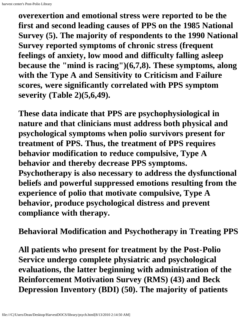**overexertion and emotional stress were reported to be the first and second leading causes of PPS on the 1985 National Survey (5). The majority of respondents to the 1990 National Survey reported symptoms of chronic stress (frequent feelings of anxiety, low mood and difficulty falling asleep because the "mind is racing")(6,7,8). These symptoms, along with the Type A and Sensitivity to Criticism and Failure scores, were significantly correlated with PPS symptom severity (Table 2)(5,6,49).**

**These data indicate that PPS are psychophysiological in nature and that clinicians must address both physical and psychological symptoms when polio survivors present for treatment of PPS. Thus, the treatment of PPS requires behavior modification to reduce compulsive, Type A behavior and thereby decrease PPS symptoms. Psychotherapy is also necessary to address the dysfunctional beliefs and powerful suppressed emotions resulting from the experience of polio that motivate compulsive, Type A behavior, produce psychological distress and prevent compliance with therapy.**

**Behavioral Modification and Psychotherapy in Treating PPS**

**All patients who present for treatment by the Post-Polio Service undergo complete physiatric and psychological evaluations, the latter beginning with administration of the Reinforcement Motivation Survey (RMS) (43) and Beck Depression Inventory (BDI) (50). The majority of patients**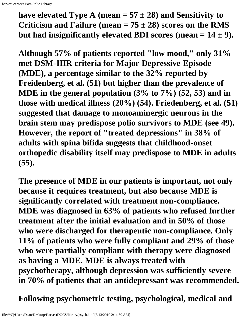have elevated Type A (mean  $= 57 \pm 28$ ) and Sensitivity to **Criticism and Failure (mean = 75 ± 28) scores on the RMS** but had insignificantly elevated BDI scores (mean  $= 14 \pm 9$ ).

**Although 57% of patients reported "low mood," only 31% met DSM-IIIR criteria for Major Depressive Episode (MDE), a percentage similar to the 32% reported by Freidenberg, et al. (51) but higher than the prevalence of MDE in the general population (3% to 7%) (52, 53) and in those with medical illness (20%) (54). Friedenberg, et al. (51) suggested that damage to monoaminergic neurons in the brain stem may predispose polio survivors to MDE (see 49). However, the report of "treated depressions" in 38% of adults with spina bifida suggests that childhood-onset orthopedic disability itself may predispose to MDE in adults (55).**

**The presence of MDE in our patients is important, not only because it requires treatment, but also because MDE is significantly correlated with treatment non-compliance. MDE was diagnosed in 63% of patients who refused further treatment after the initial evaluation and in 50% of those who were discharged for therapeutic non-compliance. Only 11% of patients who were fully compliant and 29% of those who were partially compliant with therapy were diagnosed as having a MDE. MDE is always treated with psychotherapy, although depression was sufficiently severe in 70% of patients that an antidepressant was recommended.**

**Following psychometric testing, psychological, medical and**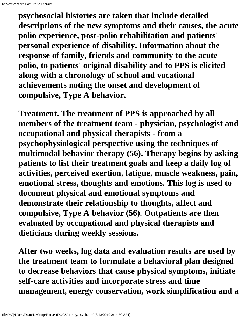**psychosocial histories are taken that include detailed descriptions of the new symptoms and their causes, the acute polio experience, post-polio rehabilitation and patients' personal experience of disability. Information about the response of family, friends and community to the acute polio, to patients' original disability and to PPS is elicited along with a chronology of school and vocational achievements noting the onset and development of compulsive, Type A behavior.**

**Treatment. The treatment of PPS is approached by all members of the treatment team - physician, psychologist and occupational and physical therapists - from a psychophysiological perspective using the techniques of multimodal behavior therapy (56). Therapy begins by asking patients to list their treatment goals and keep a daily log of activities, perceived exertion, fatigue, muscle weakness, pain, emotional stress, thoughts and emotions. This log is used to document physical and emotional symptoms and demonstrate their relationship to thoughts, affect and compulsive, Type A behavior (56). Outpatients are then evaluated by occupational and physical therapists and dieticians during weekly sessions.**

**After two weeks, log data and evaluation results are used by the treatment team to formulate a behavioral plan designed to decrease behaviors that cause physical symptoms, initiate self-care activities and incorporate stress and time management, energy conservation, work simplification and a**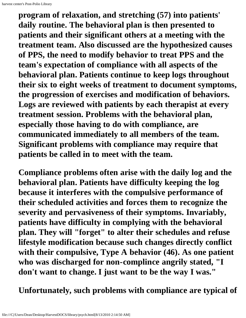**program of relaxation, and stretching (57) into patients' daily routine. The behavioral plan is then presented to patients and their significant others at a meeting with the treatment team. Also discussed are the hypothesized causes of PPS, the need to modify behavior to treat PPS and the team's expectation of compliance with all aspects of the behavioral plan. Patients continue to keep logs throughout their six to eight weeks of treatment to document symptoms, the progression of exercises and modification of behaviors. Logs are reviewed with patients by each therapist at every treatment session. Problems with the behavioral plan, especially those having to do with compliance, are communicated immediately to all members of the team. Significant problems with compliance may require that patients be called in to meet with the team.**

**Compliance problems often arise with the daily log and the behavioral plan. Patients have difficulty keeping the log because it interferes with the compulsive performance of their scheduled activities and forces them to recognize the severity and pervasiveness of their symptoms. Invariably, patients have difficulty in complying with the behavioral plan. They will "forget" to alter their schedules and refuse lifestyle modification because such changes directly conflict with their compulsive, Type A behavior (46). As one patient who was discharged for non-complince angrily stated, "I don't want to change. I just want to be the way I was."**

**Unfortunately, such problems with compliance are typical of**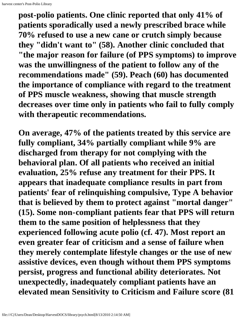**post-polio patients. One clinic reported that only 41% of patients sporadically used a newly prescribed brace while 70% refused to use a new cane or crutch simply because they "didn't want to" (58). Another clinic concluded that "the major reason for failure (of PPS symptoms) to improve was the unwillingness of the patient to follow any of the recommendations made" (59). Peach (60) has documented the importance of compliance with regard to the treatment of PPS muscle weakness, showing that muscle strength decreases over time only in patients who fail to fully comply with therapeutic recommendations.**

**On average, 47% of the patients treated by this service are fully compliant, 34% partially compliant while 9% are discharged from therapy for not complying with the behavioral plan. Of all patients who received an initial evaluation, 25% refuse any treatment for their PPS. It appears that inadequate compliance results in part from patients' fear of relinquishing compulsive, Type A behavior that is believed by them to protect against "mortal danger" (15). Some non-compliant patients fear that PPS will return them to the same position of helplessness that they experienced following acute polio (cf. 47). Most report an even greater fear of criticism and a sense of failure when they merely contemplate lifestyle changes or the use of new assistive devices, even though without them PPS symptoms persist, progress and functional ability deteriorates. Not unexpectedly, inadequately compliant patients have an elevated mean Sensitivity to Criticism and Failure score (81**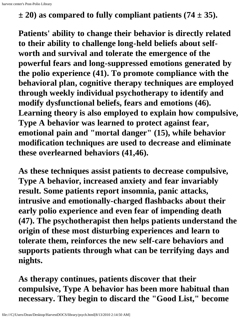$\pm$  20) as compared to fully compliant patients (74  $\pm$  35).

**Patients' ability to change their behavior is directly related to their ability to challenge long-held beliefs about selfworth and survival and tolerate the emergence of the powerful fears and long-suppressed emotions generated by the polio experience (41). To promote compliance with the behavioral plan, cognitive therapy techniques are employed through weekly individual psychotherapy to identify and modify dysfunctional beliefs, fears and emotions (46). Learning theory is also employed to explain how compulsive, Type A behavior was learned to protect against fear, emotional pain and "mortal danger" (15), while behavior modification techniques are used to decrease and eliminate these overlearned behaviors (41,46).**

**As these techniques assist patients to decrease compulsive, Type A behavior, increased anxiety and fear invariably result. Some patients report insomnia, panic attacks, intrusive and emotionally-charged flashbacks about their early polio experience and even fear of impending death (47). The psychotherapist then helps patients understand the origin of these most disturbing experiences and learn to tolerate them, reinforces the new self-care behaviors and supports patients through what can be terrifying days and nights.**

**As therapy continues, patients discover that their compulsive, Type A behavior has been more habitual than necessary. They begin to discard the "Good List," become**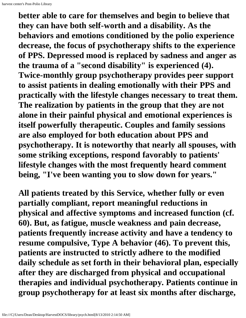**better able to care for themselves and begin to believe that they can have both self-worth and a disability. As the behaviors and emotions conditioned by the polio experience decrease, the focus of psychotherapy shifts to the experience of PPS. Depressed mood is replaced by sadness and anger as the trauma of a "second disability" is experienced (4). Twice-monthly group psychotherapy provides peer support to assist patients in dealing emotionally with their PPS and practically with the lifestyle changes necessary to treat them. The realization by patients in the group that they are not alone in their painful physical and emotional experiences is itself powerfully therapeutic. Couples and family sessions are also employed for both education about PPS and psychotherapy. It is noteworthy that nearly all spouses, with some striking exceptions, respond favorably to patients' lifestyle changes with the most frequently heard comment being, "I've been wanting you to slow down for years."**

**All patients treated by this Service, whether fully or even partially compliant, report meaningful reductions in physical and affective symptoms and increased function (cf. 60). But, as fatigue, muscle weakness and pain decrease, patients frequently increase activity and have a tendency to resume compulsive, Type A behavior (46). To prevent this, patients are instructed to strictly adhere to the modified daily schedule as set forth in their behavioral plan, especially after they are discharged from physical and occupational therapies and individual psychotherapy. Patients continue in group psychotherapy for at least six months after discharge,**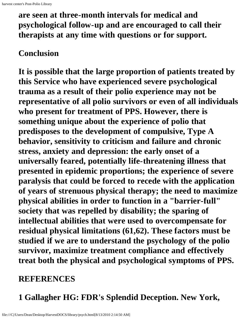**are seen at three-month intervals for medical and psychological follow-up and are encouraged to call their therapists at any time with questions or for support.**

#### **Conclusion**

**It is possible that the large proportion of patients treated by this Service who have experienced severe psychological trauma as a result of their polio experience may not be representative of all polio survivors or even of all individuals who present for treatment of PPS. However, there is something unique about the experience of polio that predisposes to the development of compulsive, Type A behavior, sensitivity to criticism and failure and chronic stress, anxiety and depression: the early onset of a universally feared, potentially life-threatening illness that presented in epidemic proportions; the experience of severe paralysis that could be forced to recede with the application of years of strenuous physical therapy; the need to maximize physical abilities in order to function in a "barrier-full" society that was repelled by disability; the sparing of intellectual abilities that were used to overcompensate for residual physical limitations (61,62). These factors must be studied if we are to understand the psychology of the polio survivor, maximize treatment compliance and effectively treat both the physical and psychological symptoms of PPS.**

### **REFERENCES**

**1 Gallagher HG: FDR's Splendid Deception. New York,**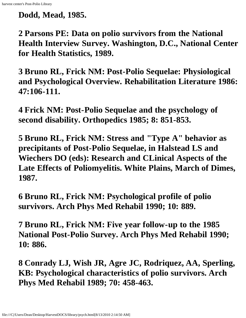**Dodd, Mead, 1985.**

**2 Parsons PE: Data on polio survivors from the National Health Interview Survey. Washington, D.C., National Center for Health Statistics, 1989.**

**3 Bruno RL, Frick NM: Post-Polio Sequelae: Physiological and Psychological Overview. Rehabilitation Literature 1986: 47:106-111.**

**4 Frick NM: Post-Polio Sequelae and the psychology of second disability. Orthopedics 1985; 8: 851-853.**

**5 Bruno RL, Frick NM: Stress and "Type A" behavior as precipitants of Post-Polio Sequelae, in Halstead LS and Wiechers DO (eds): Research and CLinical Aspects of the Late Effects of Poliomyelitis. White Plains, March of Dimes, 1987.**

**6 Bruno RL, Frick NM: Psychological profile of polio survivors. Arch Phys Med Rehabil 1990; 10: 889.**

**7 Bruno RL, Frick NM: Five year follow-up to the 1985 National Post-Polio Survey. Arch Phys Med Rehabil 1990; 10: 886.**

**8 Conrady LJ, Wish JR, Agre JC, Rodriquez, AA, Sperling, KB: Psychological characteristics of polio survivors. Arch Phys Med Rehabil 1989; 70: 458-463.**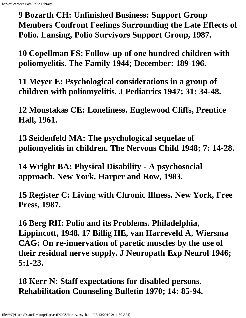**9 Bozarth CH: Unfinished Business: Support Group Members Confront Feelings Surrounding the Late Effects of Polio. Lansing, Polio Survivors Support Group, 1987.**

**10 Copellman FS: Follow-up of one hundred children with poliomyelitis. The Family 1944; December: 189-196.**

**11 Meyer E: Psychological considerations in a group of children with poliomyelitis. J Pediatrics 1947; 31: 34-48.**

**12 Moustakas CE: Loneliness. Englewood Cliffs, Prentice Hall, 1961.**

**13 Seidenfeld MA: The psychological sequelae of poliomyelitis in children. The Nervous Child 1948; 7: 14-28.**

**14 Wright BA: Physical Disability - A psychosocial approach. New York, Harper and Row, 1983.**

**15 Register C: Living with Chronic Illness. New York, Free Press, 1987.**

**16 Berg RH: Polio and its Problems. Philadelphia, Lippincott, 1948. 17 Billig HE, van Harreveld A, Wiersma CAG: On re-innervation of paretic muscles by the use of their residual nerve supply. J Neuropath Exp Neurol 1946; 5:1-23.**

**18 Kerr N: Staff expectations for disabled persons. Rehabilitation Counseling Bulletin 1970; 14: 85-94.**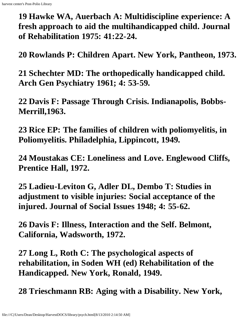**19 Hawke WA, Auerbach A: Multidiscipline experience: A fresh approach to aid the multihandicapped child. Journal of Rehabilitation 1975: 41:22-24.**

**20 Rowlands P: Children Apart. New York, Pantheon, 1973.**

**21 Schechter MD: The orthopedically handicapped child. Arch Gen Psychiatry 1961; 4: 53-59.**

**22 Davis F: Passage Through Crisis. Indianapolis, Bobbs-Merrill,1963.**

**23 Rice EP: The families of children with poliomyelitis, in Poliomyelitis. Philadelphia, Lippincott, 1949.**

**24 Moustakas CE: Loneliness and Love. Englewood Cliffs, Prentice Hall, 1972.**

**25 Ladieu-Leviton G, Adler DL, Dembo T: Studies in adjustment to visible injuries: Social acceptance of the injured. Journal of Social Issues 1948; 4: 55-62.**

**26 Davis F: Illness, Interaction and the Self. Belmont, California, Wadsworth, 1972.**

**27 Long L, Roth C: The psychological aspects of rehabilitation, in Soden WH (ed) Rehabilitation of the Handicapped. New York, Ronald, 1949.**

**28 Trieschmann RB: Aging with a Disability. New York,**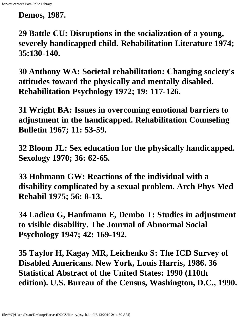**Demos, 1987.**

**29 Battle CU: Disruptions in the socialization of a young, severely handicapped child. Rehabilitation Literature 1974; 35:130-140.**

**30 Anthony WA: Societal rehabilitation: Changing society's attitudes toward the physically and mentally disabled. Rehabilitation Psychology 1972; 19: 117-126.**

**31 Wright BA: Issues in overcoming emotional barriers to adjustment in the handicapped. Rehabilitation Counseling Bulletin 1967; 11: 53-59.**

**32 Bloom JL: Sex education for the physically handicapped. Sexology 1970; 36: 62-65.**

**33 Hohmann GW: Reactions of the individual with a disability complicated by a sexual problem. Arch Phys Med Rehabil 1975; 56: 8-13.**

**34 Ladieu G, Hanfmann E, Dembo T: Studies in adjustment to visible disability. The Journal of Abnormal Social Psychology 1947; 42: 169-192.**

**35 Taylor H, Kagay MR, Leichenko S: The ICD Survey of Disabled Americans. New York, Louis Harris, 1986. 36 Statistical Abstract of the United States: 1990 (110th edition). U.S. Bureau of the Census, Washington, D.C., 1990.**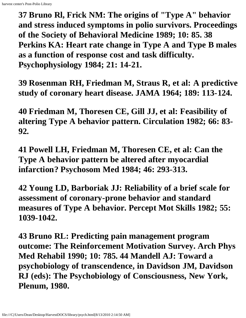**37 Bruno Rl, Frick NM: The origins of "Type A" behavior and stress induced symptoms in polio survivors. Proceedings of the Society of Behavioral Medicine 1989; 10: 85. 38 Perkins KA: Heart rate change in Type A and Type B males as a function of response cost and task difficulty. Psychophysiology 1984; 21: 14-21.**

**39 Rosenman RH, Friedman M, Straus R, et al: A predictive study of coronary heart disease. JAMA 1964; 189: 113-124.**

**40 Friedman M, Thoresen CE, Gill JJ, et al: Feasibility of altering Type A behavior pattern. Circulation 1982; 66: 83- 92.**

**41 Powell LH, Friedman M, Thoresen CE, et al: Can the Type A behavior pattern be altered after myocardial infarction? Psychosom Med 1984; 46: 293-313.**

**42 Young LD, Barboriak JJ: Reliability of a brief scale for assessment of coronary-prone behavior and standard measures of Type A behavior. Percept Mot Skills 1982; 55: 1039-1042.**

**43 Bruno RL: Predicting pain management program outcome: The Reinforcement Motivation Survey. Arch Phys Med Rehabil 1990; 10: 785. 44 Mandell AJ: Toward a psychobiology of transcendence, in Davidson JM, Davidson RJ (eds): The Psychobiology of Consciousness, New York, Plenum, 1980.**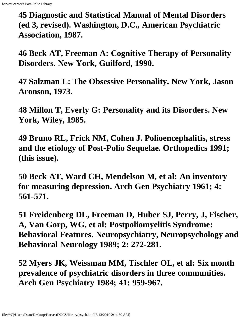**45 Diagnostic and Statistical Manual of Mental Disorders (ed 3, revised). Washington, D.C., American Psychiatric Association, 1987.**

**46 Beck AT, Freeman A: Cognitive Therapy of Personality Disorders. New York, Guilford, 1990.**

**47 Salzman L: The Obsessive Personality. New York, Jason Aronson, 1973.**

**48 Millon T, Everly G: Personality and its Disorders. New York, Wiley, 1985.**

**49 Bruno RL, Frick NM, Cohen J. Polioencephalitis, stress and the etiology of Post-Polio Sequelae. Orthopedics 1991; (this issue).**

**50 Beck AT, Ward CH, Mendelson M, et al: An inventory for measuring depression. Arch Gen Psychiatry 1961; 4: 561-571.**

**51 Freidenberg DL, Freeman D, Huber SJ, Perry, J, Fischer, A, Van Gorp, WG, et al: Postpoliomyelitis Syndrome: Behavioral Features. Neuropsychiatry, Neuropsychology and Behavioral Neurology 1989; 2: 272-281.**

**52 Myers JK, Weissman MM, Tischler OL, et al: Six month prevalence of psychiatric disorders in three communities. Arch Gen Psychiatry 1984; 41: 959-967.**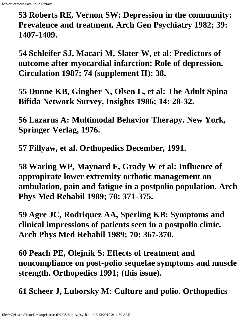**53 Roberts RE, Vernon SW: Depression in the community: Prevalence and treatment. Arch Gen Psychiatry 1982; 39: 1407-1409.**

**54 Schleifer SJ, Macari M, Slater W, et al: Predictors of outcome after myocardial infarction: Role of depression. Circulation 1987; 74 (supplement II): 38.**

**55 Dunne KB, Gingher N, Olsen L, et al: The Adult Spina Bifida Network Survey. Insights 1986; 14: 28-32.**

**56 Lazarus A: Multimodal Behavior Therapy. New York, Springer Verlag, 1976.**

**57 Fillyaw, et al. Orthopedics December, 1991.**

**58 Waring WP, Maynard F, Grady W et al: Influence of appropirate lower extremity orthotic management on ambulation, pain and fatigue in a postpolio population. Arch Phys Med Rehabil 1989; 70: 371-375.**

**59 Agre JC, Rodriquez AA, Sperling KB: Symptoms and clinical impressions of patients seen in a postpolio clinic. Arch Phys Med Rehabil 1989; 70: 367-370.**

**60 Peach PE, Olejnik S: Effects of treatment and noncompliance on post-polio sequelae symptoms and muscle strength. Orthopedics 1991; (this issue).**

**61 Scheer J, Luborsky M: Culture and polio. Orthopedics**